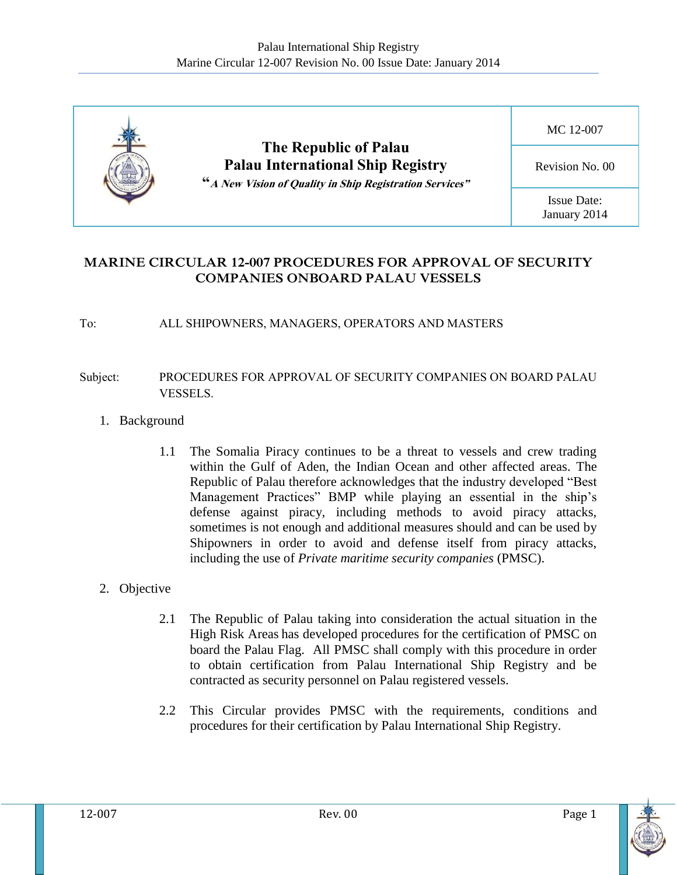

## **MARINE CIRCULAR 12-007 PROCEDURES FOR APPROVAL OF SECURITY COMPANIES ONBOARD PALAU VESSELS**

#### To: ALL SHIPOWNERS, MANAGERS, OPERATORS AND MASTERS

### Subject: PROCEDURES FOR APPROVAL OF SECURITY COMPANIES ON BOARD PALAU VESSELS.

- 1. Background
	- 1.1 The Somalia Piracy continues to be a threat to vessels and crew trading within the Gulf of Aden, the Indian Ocean and other affected areas. The Republic of Palau therefore acknowledges that the industry developed "Best Management Practices" BMP while playing an essential in the ship's defense against piracy, including methods to avoid piracy attacks, sometimes is not enough and additional measures should and can be used by Shipowners in order to avoid and defense itself from piracy attacks, including the use of *Private maritime security companies* (PMSC).

### 2. Objective

- 2.1 The Republic of Palau taking into consideration the actual situation in the High Risk Areas has developed procedures for the certification of PMSC on board the Palau Flag. All PMSC shall comply with this procedure in order to obtain certification from Palau International Ship Registry and be contracted as security personnel on Palau registered vessels.
- 2.2 This Circular provides PMSC with the requirements, conditions and procedures for their certification by Palau International Ship Registry.

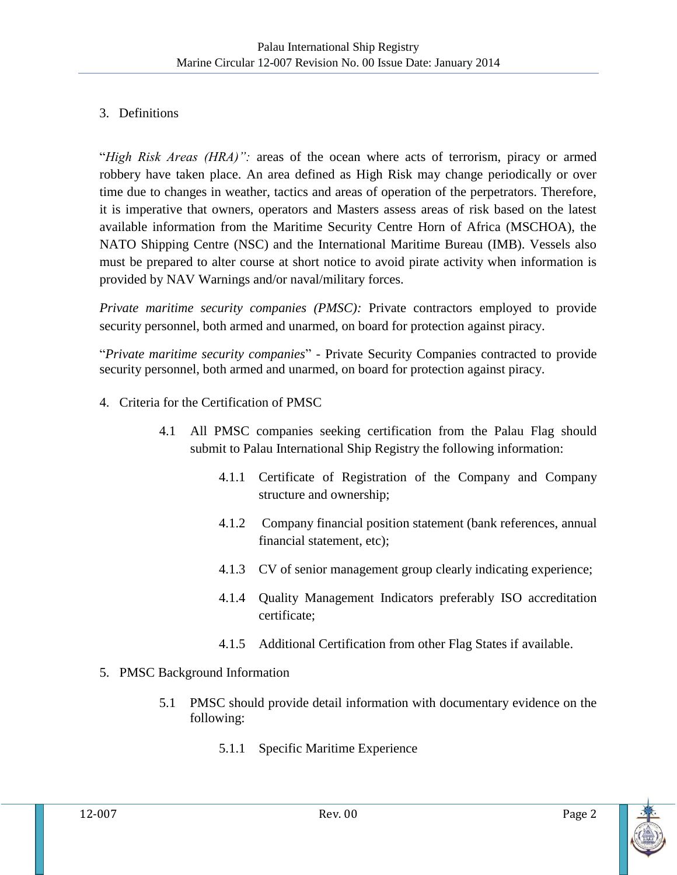# 3. Definitions

"*High Risk Areas (HRA)":* areas of the ocean where acts of terrorism, piracy or armed robbery have taken place. An area defined as High Risk may change periodically or over time due to changes in weather, tactics and areas of operation of the perpetrators. Therefore, it is imperative that owners, operators and Masters assess areas of risk based on the latest available information from the Maritime Security Centre Horn of Africa (MSCHOA), the NATO Shipping Centre (NSC) and the International Maritime Bureau (IMB). Vessels also must be prepared to alter course at short notice to avoid pirate activity when information is provided by NAV Warnings and/or naval/military forces.

*Private maritime security companies (PMSC):* Private contractors employed to provide security personnel, both armed and unarmed, on board for protection against piracy.

"*Private maritime security companies*" - Private Security Companies contracted to provide security personnel, both armed and unarmed, on board for protection against piracy.

- 4. Criteria for the Certification of PMSC
	- 4.1 All PMSC companies seeking certification from the Palau Flag should submit to Palau International Ship Registry the following information:
		- 4.1.1 Certificate of Registration of the Company and Company structure and ownership;
		- 4.1.2 Company financial position statement (bank references, annual financial statement, etc);
		- 4.1.3 CV of senior management group clearly indicating experience;
		- 4.1.4 Quality Management Indicators preferably ISO accreditation certificate;
		- 4.1.5 Additional Certification from other Flag States if available.

# 5. PMSC Background Information

- 5.1 PMSC should provide detail information with documentary evidence on the following:
	- 5.1.1 Specific Maritime Experience

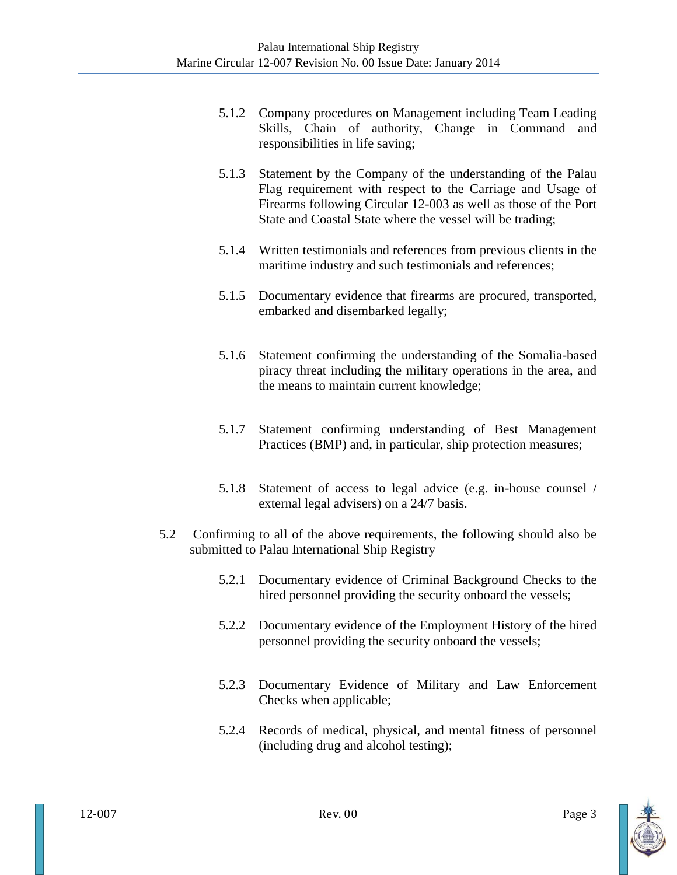- 5.1.2 Company procedures on Management including Team Leading Skills, Chain of authority, Change in Command and responsibilities in life saving;
- 5.1.3 Statement by the Company of the understanding of the Palau Flag requirement with respect to the Carriage and Usage of Firearms following Circular 12-003 as well as those of the Port State and Coastal State where the vessel will be trading;
- 5.1.4 Written testimonials and references from previous clients in the maritime industry and such testimonials and references;
- 5.1.5 Documentary evidence that firearms are procured, transported, embarked and disembarked legally;
- 5.1.6 Statement confirming the understanding of the Somalia-based piracy threat including the military operations in the area, and the means to maintain current knowledge;
- 5.1.7 Statement confirming understanding of Best Management Practices (BMP) and, in particular, ship protection measures;
- 5.1.8 Statement of access to legal advice (e.g. in-house counsel / external legal advisers) on a 24/7 basis.
- 5.2 Confirming to all of the above requirements, the following should also be submitted to Palau International Ship Registry
	- 5.2.1 Documentary evidence of Criminal Background Checks to the hired personnel providing the security onboard the vessels;
	- 5.2.2 Documentary evidence of the Employment History of the hired personnel providing the security onboard the vessels;
	- 5.2.3 Documentary Evidence of Military and Law Enforcement Checks when applicable;
	- 5.2.4 Records of medical, physical, and mental fitness of personnel (including drug and alcohol testing);

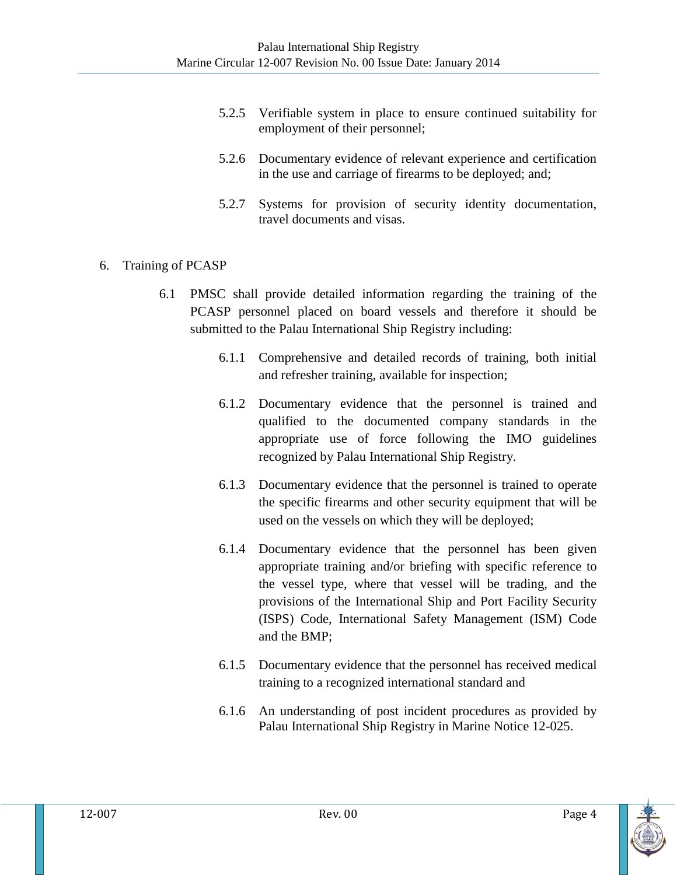- 5.2.5 Verifiable system in place to ensure continued suitability for employment of their personnel;
- 5.2.6 Documentary evidence of relevant experience and certification in the use and carriage of firearms to be deployed; and;
- 5.2.7 Systems for provision of security identity documentation, travel documents and visas.

## 6. Training of PCASP

- 6.1 PMSC shall provide detailed information regarding the training of the PCASP personnel placed on board vessels and therefore it should be submitted to the Palau International Ship Registry including:
	- 6.1.1 Comprehensive and detailed records of training, both initial and refresher training, available for inspection;
	- 6.1.2 Documentary evidence that the personnel is trained and qualified to the documented company standards in the appropriate use of force following the IMO guidelines recognized by Palau International Ship Registry.
	- 6.1.3 Documentary evidence that the personnel is trained to operate the specific firearms and other security equipment that will be used on the vessels on which they will be deployed;
	- 6.1.4 Documentary evidence that the personnel has been given appropriate training and/or briefing with specific reference to the vessel type, where that vessel will be trading, and the provisions of the International Ship and Port Facility Security (ISPS) Code, International Safety Management (ISM) Code and the BMP;
	- 6.1.5 Documentary evidence that the personnel has received medical training to a recognized international standard and
	- 6.1.6 An understanding of post incident procedures as provided by Palau International Ship Registry in Marine Notice 12-025.

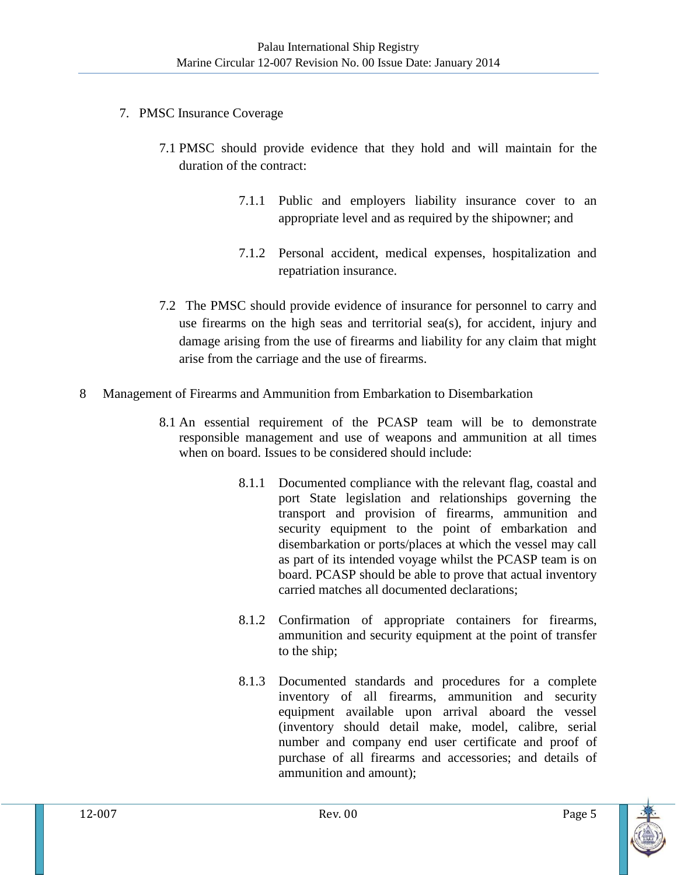- 7. PMSC Insurance Coverage
	- 7.1 PMSC should provide evidence that they hold and will maintain for the duration of the contract:
		- 7.1.1 Public and employers liability insurance cover to an appropriate level and as required by the shipowner; and
		- 7.1.2 Personal accident, medical expenses, hospitalization and repatriation insurance.
	- 7.2 The PMSC should provide evidence of insurance for personnel to carry and use firearms on the high seas and territorial sea(s), for accident, injury and damage arising from the use of firearms and liability for any claim that might arise from the carriage and the use of firearms.
- 8 Management of Firearms and Ammunition from Embarkation to Disembarkation
	- 8.1 An essential requirement of the PCASP team will be to demonstrate responsible management and use of weapons and ammunition at all times when on board. Issues to be considered should include:
		- 8.1.1 Documented compliance with the relevant flag, coastal and port State legislation and relationships governing the transport and provision of firearms, ammunition and security equipment to the point of embarkation and disembarkation or ports/places at which the vessel may call as part of its intended voyage whilst the PCASP team is on board. PCASP should be able to prove that actual inventory carried matches all documented declarations;
		- 8.1.2 Confirmation of appropriate containers for firearms, ammunition and security equipment at the point of transfer to the ship;
		- 8.1.3 Documented standards and procedures for a complete inventory of all firearms, ammunition and security equipment available upon arrival aboard the vessel (inventory should detail make, model, calibre, serial number and company end user certificate and proof of purchase of all firearms and accessories; and details of ammunition and amount);

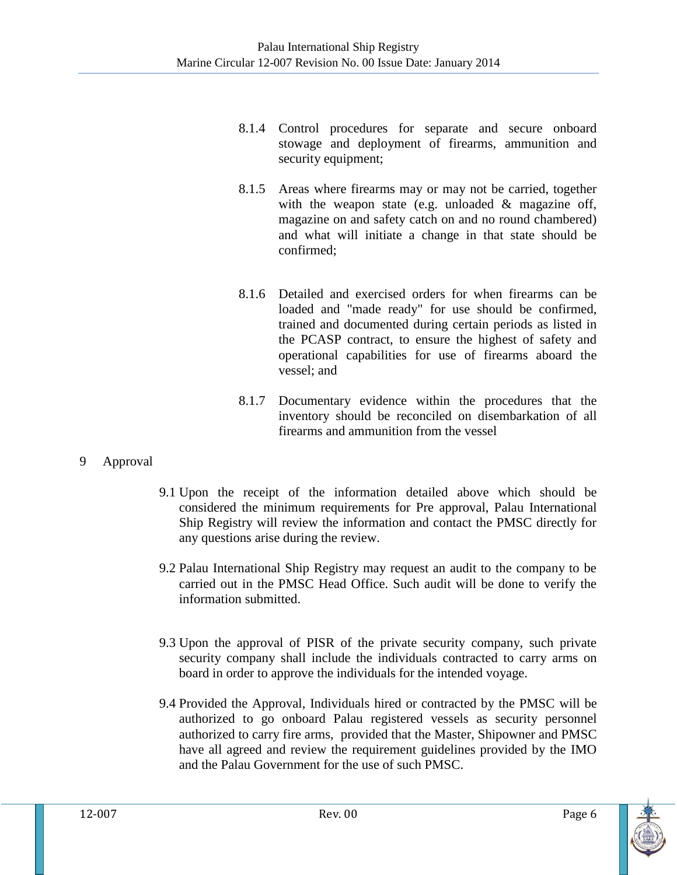- 8.1.4 Control procedures for separate and secure onboard stowage and deployment of firearms, ammunition and security equipment;
- 8.1.5 Areas where firearms may or may not be carried, together with the weapon state (e.g. unloaded & magazine off, magazine on and safety catch on and no round chambered) and what will initiate a change in that state should be confirmed;
- 8.1.6 Detailed and exercised orders for when firearms can be loaded and "made ready" for use should be confirmed, trained and documented during certain periods as listed in the PCASP contract, to ensure the highest of safety and operational capabilities for use of firearms aboard the vessel; and
- 8.1.7 Documentary evidence within the procedures that the inventory should be reconciled on disembarkation of all firearms and ammunition from the vessel
- 9 Approval
- 9.1 Upon the receipt of the information detailed above which should be considered the minimum requirements for Pre approval, Palau International Ship Registry will review the information and contact the PMSC directly for any questions arise during the review.
- 9.2 Palau International Ship Registry may request an audit to the company to be carried out in the PMSC Head Office. Such audit will be done to verify the information submitted.
- 9.3 Upon the approval of PISR of the private security company, such private security company shall include the individuals contracted to carry arms on board in order to approve the individuals for the intended voyage.
- 9.4 Provided the Approval, Individuals hired or contracted by the PMSC will be authorized to go onboard Palau registered vessels as security personnel authorized to carry fire arms, provided that the Master, Shipowner and PMSC have all agreed and review the requirement guidelines provided by the IMO and the Palau Government for the use of such PMSC.